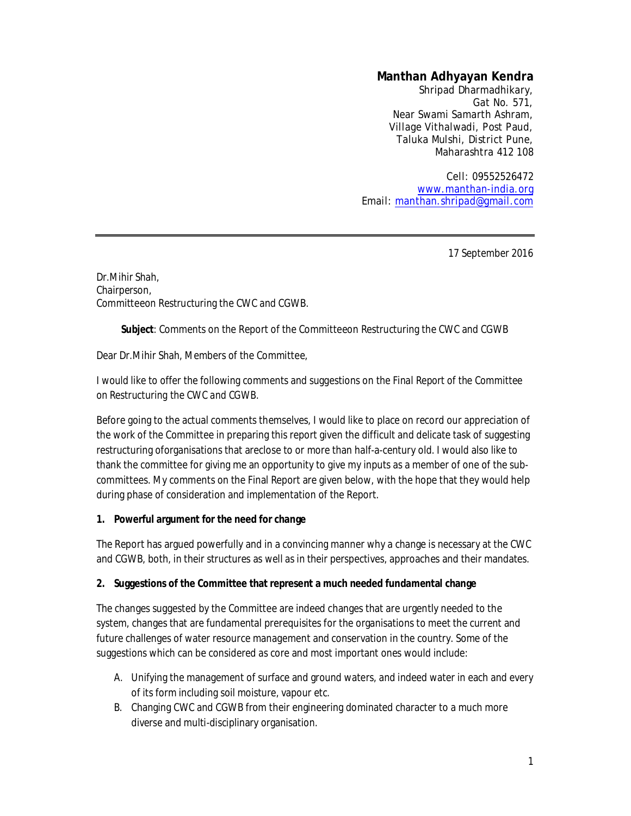## **Manthan Adhyayan Kendra**

Shripad Dharmadhikary, Gat No. 571, Near Swami Samarth Ashram, Village Vithalwadi, Post Paud, Taluka Mulshi, District Pune, Maharashtra 412 108

Cell: 09552526472 www.manthan-india.org Email: manthan.shripad@gmail.com

17 September 2016

Dr.Mihir Shah, Chairperson, Committeeon Restructuring the CWC and CGWB.

**Subject**: Comments on the Report of the Committeeon Restructuring the CWC and CGWB

Dear Dr.Mihir Shah, Members of the Committee,

I would like to offer the following comments and suggestions on *the Final Report of the Committee on Restructuring the CWC and CGWB.* 

Before going to the actual comments themselves, I would like to place on record our appreciation of the work of the Committee in preparing this report given the difficult and delicate task of suggesting restructuring oforganisations that areclose to or more than half-a-century old. I would also like to thank the committee for giving me an opportunity to give my inputs as a member of one of the subcommittees. My comments on the Final Report are given below, with the hope that they would help during phase of consideration and implementation of the Report.

## **1. Powerful argument for the need for change**

The Report has argued powerfully and in a convincing manner why a change is necessary at the CWC and CGWB, both, in their structures as well as in their perspectives, approaches and their mandates.

## **2. Suggestions of the Committee that represent a much needed fundamental change**

The changes suggested by the Committee are indeed changes that are urgently needed to the system, changes that are fundamental prerequisites for the organisations to meet the current and future challenges of water resource management and conservation in the country. Some of the suggestions which can be considered as core and most important ones would include:

- A. Unifying the management of surface and ground waters, and indeed water in each and every of its form including soil moisture, vapour etc.
- B. Changing CWC and CGWB from their engineering dominated character to a much more diverse and multi-disciplinary organisation.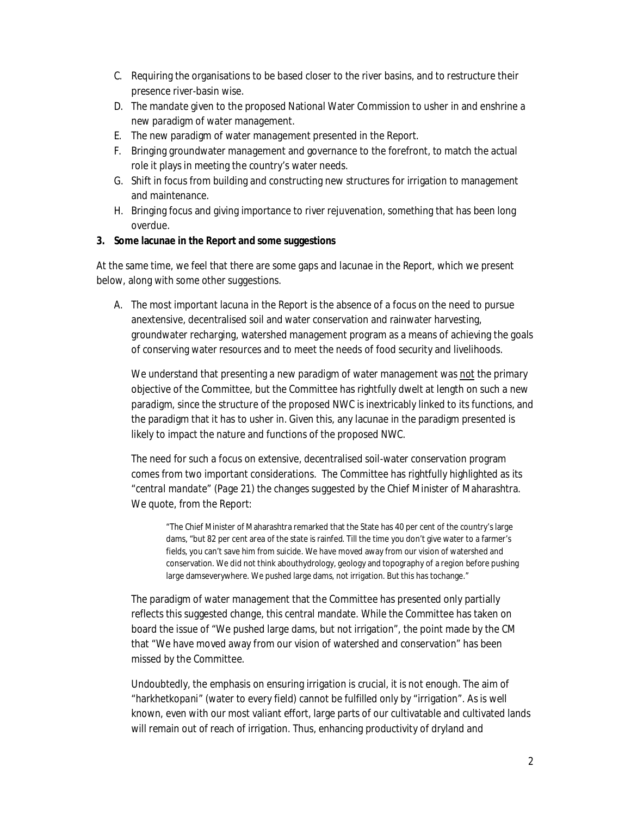- C. Requiring the organisations to be based closer to the river basins, and to restructure their presence river-basin wise.
- D. The mandate given to the proposed National Water Commission to usher in and enshrine a new paradigm of water management.
- E. The new paradigm of water management presented in the Report.
- F. Bringing groundwater management and governance to the forefront, to match the actual role it plays in meeting the country's water needs.
- G. Shift in focus from building and constructing new structures for irrigation to management and maintenance.
- H. Bringing focus and giving importance to river rejuvenation, something that has been long overdue.

## **3. Some lacunae in the Report and some suggestions**

At the same time, we feel that there are some gaps and lacunae in the Report, which we present below, along with some other suggestions.

A. The most important lacuna in the Report is the absence of a focus on the need to pursue anextensive, decentralised soil and water conservation and rainwater harvesting, groundwater recharging, watershed management program as a means of achieving the goals of conserving water resources and to meet the needs of food security and livelihoods.

We understand that presenting a new paradigm of water management was not the primary objective of the Committee, but the Committee has rightfully dwelt at length on such a new paradigm, since the structure of the proposed NWC is inextricably linked to its functions, and the paradigm that it has to usher in. Given this, any lacunae in the paradigm presented is likely to impact the nature and functions of the proposed NWC.

The need for such a focus on extensive, decentralised soil-water conservation program comes from two important considerations. The Committee has rightfully highlighted as its "*central mandate*" (Page 21) the changes suggested by the Chief Minister of Maharashtra. We quote, from the Report:

"The Chief Minister of Maharashtra remarked that the State has 40 per cent of the country's large dams, "but 82 per cent area of the state is rainfed. Till the time you don't give water to a farmer's fields, you can't save him from suicide. We have moved away from our vision of watershed and conservation. We did not think abouthydrology, geology and topography of a region before pushing large damseverywhere. We pushed large dams, not irrigation. But this has tochange."

The paradigm of water management that the Committee has presented only partially reflects this suggested change, this central mandate. While the Committee has taken on board the issue of "We pushed large dams, but not irrigation", the point made by the CM that "We have moved away from our vision of watershed and conservation" has been missed by the Committee.

Undoubtedly, the emphasis on ensuring irrigation is crucial, it is not enough. The aim of "*harkhetkopani*" (water to every field) cannot be fulfilled only by "irrigation". As is well known, even with our most valiant effort, large parts of our cultivatable and cultivated lands will remain out of reach of irrigation. Thus, enhancing productivity of dryland and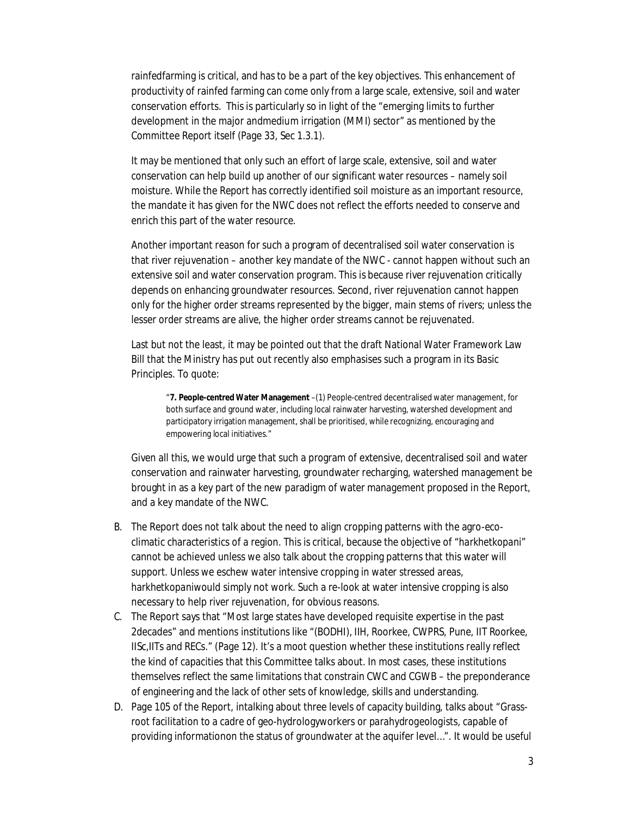rainfedfarming is critical, and has to be a part of the key objectives. This enhancement of productivity of rainfed farming can come only from a large scale, extensive, soil and water conservation efforts. This is particularly so in light of the "emerging limits to further development in the major andmedium irrigation (MMI) sector" as mentioned by the Committee Report itself (Page 33, Sec 1.3.1).

It may be mentioned that only such an effort of large scale, extensive, soil and water conservation can help build up another of our significant water resources – namely soil moisture. While the Report has correctly identified soil moisture as an important resource, the mandate it has given for the NWC does not reflect the efforts needed to conserve and enrich this part of the water resource.

Another important reason for such a program of decentralised soil water conservation is that river rejuvenation – another key mandate of the NWC - cannot happen without such an extensive soil and water conservation program. This is because river rejuvenation critically depends on enhancing groundwater resources. Second, river rejuvenation cannot happen only for the higher order streams represented by the bigger, main stems of rivers; unless the lesser order streams are alive, the higher order streams cannot be rejuvenated.

Last but not the least, it may be pointed out that the draft National Water Framework Law Bill that the Ministry has put out recently also emphasises such a program in its *Basic Principles*. To quote:

"**7. People-centred Water Management** –(1) People-centred decentralised water management, for both surface and ground water, including local rainwater harvesting, watershed development and participatory irrigation management, shall be prioritised, while recognizing, encouraging and empowering local initiatives."

Given all this, we would urge that such a program of extensive, decentralised soil and water conservation and rainwater harvesting, groundwater recharging, watershed management be brought in as a key part of the new paradigm of water management proposed in the Report, and a key mandate of the NWC.

- B. The Report does not talk about the need to align cropping patterns with the agro-ecoclimatic characteristics of a region. This is critical, because the objective of "*harkhetkopani*" cannot be achieved unless we also talk about the cropping patterns that this water will support. Unless we eschew water intensive cropping in water stressed areas, *harkhetkopani*would simply not work. Such a re-look at water intensive cropping is also necessary to help river rejuvenation, for obvious reasons.
- C. The Report says that "Most large states have developed requisite expertise in the past 2decades" and mentions institutions like "(BODHI), IIH, Roorkee, CWPRS, Pune, IIT Roorkee, IISc,IITs and RECs." (Page 12). It's a moot question whether these institutions really reflect the kind of capacities that this Committee talks about. In most cases, these institutions themselves reflect the same limitations that constrain CWC and CGWB – the preponderance of engineering and the lack of other sets of knowledge, skills and understanding.
- D. Page 105 of the Report, intalking about three levels of capacity building, talks about "Grassroot facilitation to a cadre of geo-hydrologyworkers or *parahydrogeologists*, capable of providing informationon the status of groundwater at the aquifer level…". It would be useful